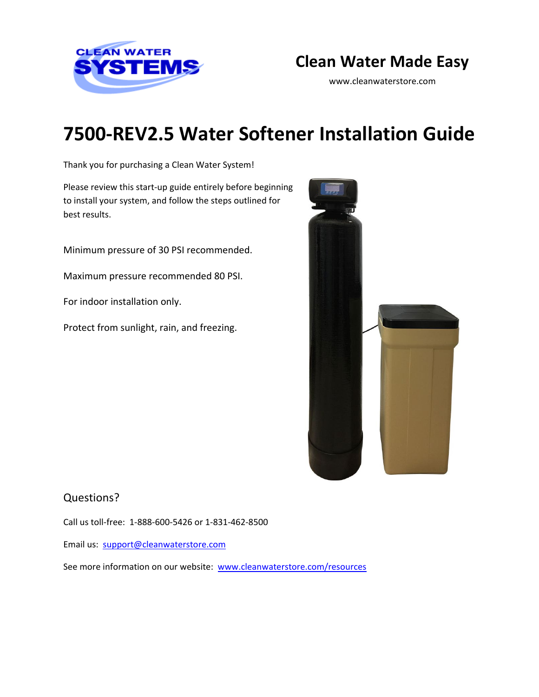

## **Clean Water Made Easy**

www.cleanwaterstore.com

# **7500-REV2.5 Water Softener Installation Guide**

Thank you for purchasing a Clean Water System!

Please review this start‐up guide entirely before beginning to install your system, and follow the steps outlined for best results.

Minimum pressure of 30 PSI recommended.

Maximum pressure recommended 80 PSI.

For indoor installation only.

Protect from sunlight, rain, and freezing.



### Questions?

Call us toll-free: 1-888-600-5426 or 1-831-462-8500

Email us: [support@cleanwaterstore.com](mailto:support@cleanwaterstore.com)

See more information on our website: [www.cleanwaterstore.com/resources](http://www.cleanwaterstore.com/resources)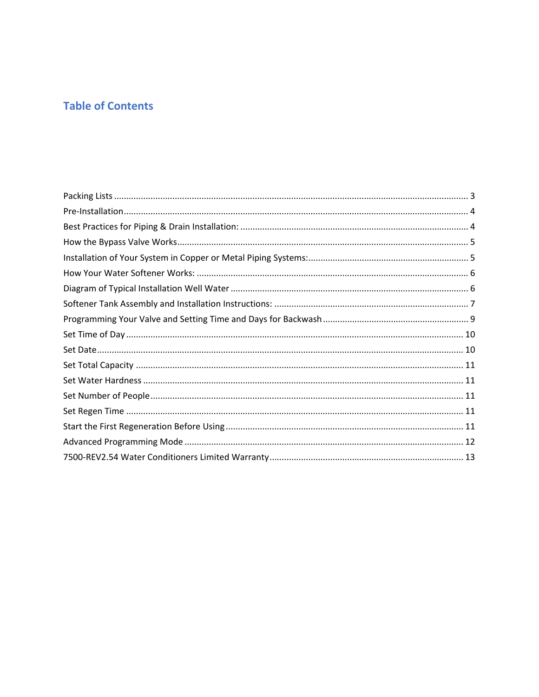## **Table of Contents**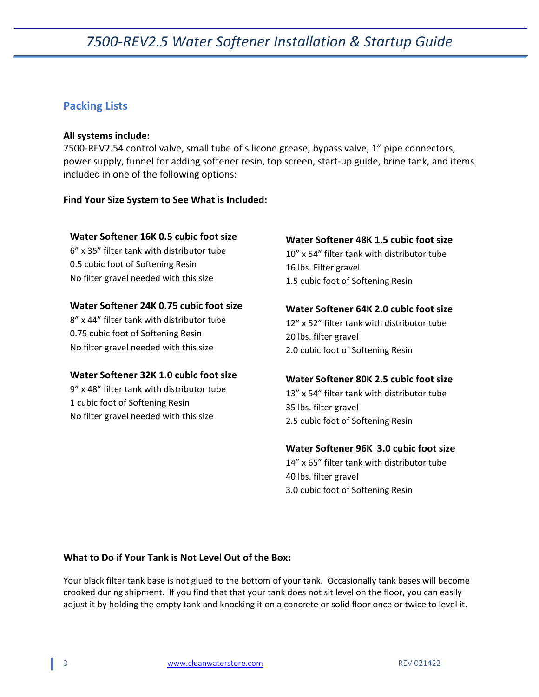### <span id="page-2-0"></span>**Packing Lists**

### **All systems include:**

7500-REV2.54 control valve, small tube of silicone grease, bypass valve, 1" pipe connectors, power supply, funnel for adding softener resin, top screen, start-up guide, brine tank, and items included in one of the following options:

### **Find Your Size System to See What is Included:**

### **Water Softener 16K 0.5 cubic foot size**

6" x 35" filter tank with distributor tube 0.5 cubic foot of Softening Resin No filter gravel needed with this size

### **Water Softener 24K 0.75 cubic foot size**

8" x 44" filter tank with distributor tube 0.75 cubic foot of Softening Resin No filter gravel needed with this size

### **Water Softener 32K 1.0 cubic foot size**

9" x 48" filter tank with distributor tube 1 cubic foot of Softening Resin No filter gravel needed with this size

### **Water Softener 48K 1.5 cubic foot size**

10" x 54" filter tank with distributor tube 16 lbs. Filter gravel 1.5 cubic foot of Softening Resin

### **Water Softener 64K 2.0 cubic foot size**

12" x 52" filter tank with distributor tube 20 lbs. filter gravel 2.0 cubic foot of Softening Resin

#### **Water Softener 80K 2.5 cubic foot size**

13" x 54" filter tank with distributor tube 35 lbs. filter gravel 2.5 cubic foot of Softening Resin

#### **Water Softener 96K 3.0 cubic foot size**

14" x 65" filter tank with distributor tube 40 lbs. filter gravel 3.0 cubic foot of Softening Resin

#### **What to Do if Your Tank is Not Level Out of the Box:**

Your black filter tank base is not glued to the bottom of your tank. Occasionally tank bases will become crooked during shipment. If you find that that your tank does not sit level on the floor, you can easily adjust it by holding the empty tank and knocking it on a concrete or solid floor once or twice to level it.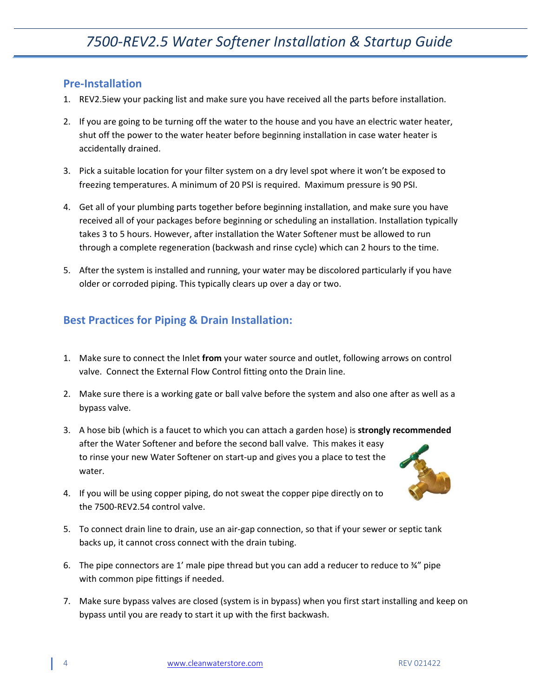### <span id="page-3-0"></span>**Pre-Installation**

- 1. REV2.5iew your packing list and make sure you have received all the parts before installation.
- 2. If you are going to be turning off the water to the house and you have an electric water heater, shut off the power to the water heater before beginning installation in case water heater is accidentally drained.
- 3. Pick a suitable location for your filter system on a dry level spot where it won't be exposed to freezing temperatures. A minimum of 20 PSI is required. Maximum pressure is 90 PSI.
- 4. Get all of your plumbing parts together before beginning installation, and make sure you have received all of your packages before beginning or scheduling an installation. Installation typically takes 3 to 5 hours. However, after installation the Water Softener must be allowed to run through a complete regeneration (backwash and rinse cycle) which can 2 hours to the time.
- 5. After the system is installed and running, your water may be discolored particularly if you have older or corroded piping. This typically clears up over a day or two.

## <span id="page-3-1"></span>**Best Practices for Piping & Drain Installation:**

- 1. Make sure to connect the Inlet **from** your water source and outlet, following arrows on control valve. Connect the External Flow Control fitting onto the Drain line.
- 2. Make sure there is a working gate or ball valve before the system and also one after as well as a bypass valve.
- 3. A hose bib (which is a faucet to which you can attach a garden hose) is **strongly recommended** after the Water Softener and before the second ball valve. This makes it easy to rinse your new Water Softener on start-up and gives you a place to test the water.
- 4. If you will be using copper piping, do not sweat the copper pipe directly on to the 7500-REV2.54 control valve.
- 5. To connect drain line to drain, use an air-gap connection, so that if your sewer or septic tank backs up, it cannot cross connect with the drain tubing.
- 6. The pipe connectors are 1' male pipe thread but you can add a reducer to reduce to  $\frac{3}{4}$ " pipe with common pipe fittings if needed.
- 7. Make sure bypass valves are closed (system is in bypass) when you first start installing and keep on bypass until you are ready to start it up with the first backwash.

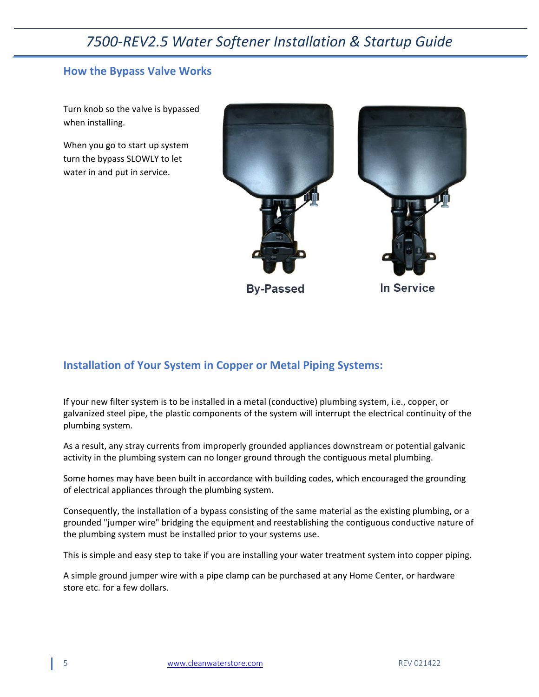### <span id="page-4-0"></span>**How the Bypass Valve Works**

Turn knob so the valve is bypassed when installing.

When you go to start up system turn the bypass SLOWLY to let water in and put in service.



**By-Passed** 

In Service

### <span id="page-4-1"></span>**Installation of Your System in Copper or Metal Piping Systems:**

If your new filter system is to be installed in a metal (conductive) plumbing system, i.e., copper, or galvanized steel pipe, the plastic components of the system will interrupt the electrical continuity of the plumbing system.

As a result, any stray currents from improperly grounded appliances downstream or potential galvanic activity in the plumbing system can no longer ground through the contiguous metal plumbing.

Some homes may have been built in accordance with building codes, which encouraged the grounding of electrical appliances through the plumbing system.

Consequently, the installation of a bypass consisting of the same material as the existing plumbing, or a grounded "jumper wire" bridging the equipment and reestablishing the contiguous conductive nature of the plumbing system must be installed prior to your systems use.

This is simple and easy step to take if you are installing your water treatment system into copper piping.

A simple ground jumper wire with a pipe clamp can be purchased at any Home Center, or hardware store etc. for a few dollars.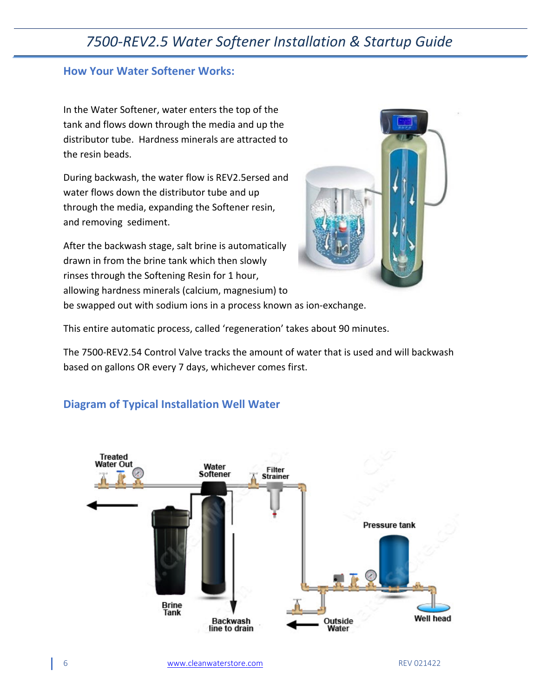### <span id="page-5-0"></span>**How Your Water Softener Works:**

In the Water Softener, water enters the top of the tank and flows down through the media and up the distributor tube. Hardness minerals are attracted to the resin beads.

During backwash, the water flow is REV2.5ersed and water flows down the distributor tube and up through the media, expanding the Softener resin, and removing sediment.

After the backwash stage, salt brine is automatically drawn in from the brine tank which then slowly rinses through the Softening Resin for 1 hour, allowing hardness minerals (calcium, magnesium) to



be swapped out with sodium ions in a process known as ion-exchange.

This entire automatic process, called 'regeneration' takes about 90 minutes.

The 7500-REV2.54 Control Valve tracks the amount of water that is used and will backwash based on gallons OR every 7 days, whichever comes first.

### <span id="page-5-1"></span>**Diagram of Typical Installation Well Water**

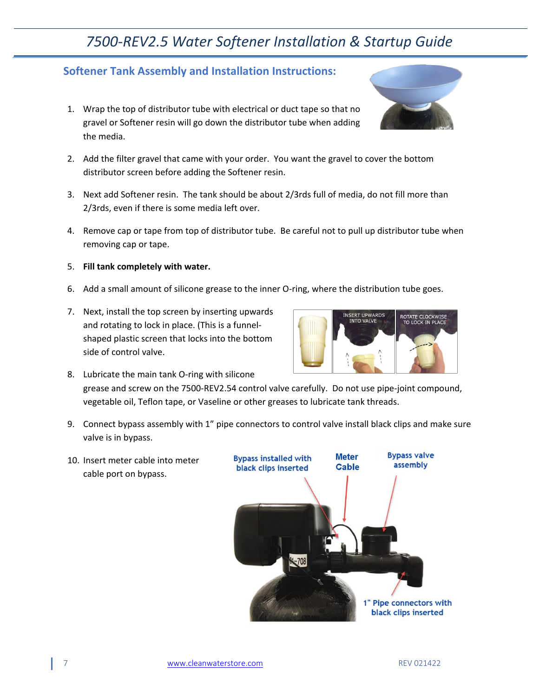### <span id="page-6-0"></span>**Softener Tank Assembly and Installation Instructions:**

- 1. Wrap the top of distributor tube with electrical or duct tape so that no gravel or Softener resin will go down the distributor tube when adding the media.
- 2. Add the filter gravel that came with your order. You want the gravel to cover the bottom distributor screen before adding the Softener resin.
- 3. Next add Softener resin. The tank should be about 2/3rds full of media, do not fill more than 2/3rds, even if there is some media left over.
- 4. Remove cap or tape from top of distributor tube. Be careful not to pull up distributor tube when removing cap or tape.
- 5. **Fill tank completely with water.**
- 6. Add a small amount of silicone grease to the inner O-ring, where the distribution tube goes.
- 7. Next, install the top screen by inserting upwards and rotating to lock in place. (This is a funnelshaped plastic screen that locks into the bottom side of control valve.



- 8. Lubricate the main tank O-ring with silicone grease and screw on the 7500-REV2.54 control valve carefully. Do not use pipe-joint compound, vegetable oil, Teflon tape, or Vaseline or other greases to lubricate tank threads.
- 9. Connect bypass assembly with 1" pipe connectors to control valve install black clips and make sure valve is in bypass.

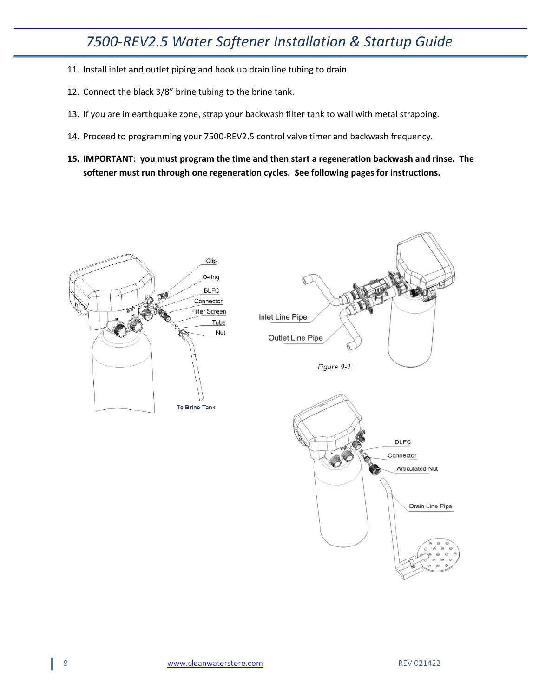- 11. Install inlet and outlet piping and hook up drain line tubing to drain.
- 12. Connect the black 3/8" brine tubing to the brine tank.
- 13. If you are in earthquake zone, strap your backwash filter tank to wall with metal strapping.
- 14. Proceed to programming your 7500-REV2.5 control valve timer and backwash frequency.
- **15. IMPORTANT: you must program the time and then start a regeneration backwash and rinse. The softener must run through one regeneration cycles. See following pages for instructions.**

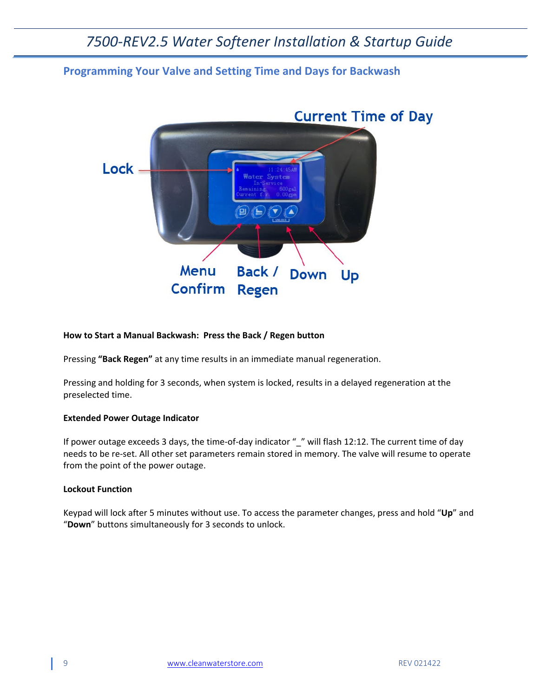### <span id="page-8-0"></span>**Programming Your Valve and Setting Time and Days for Backwash**



#### **How to Start a Manual Backwash: Press the Back / Regen button**

Pressing **"Back Regen"** at any time results in an immediate manual regeneration.

Pressing and holding for 3 seconds, when system is locked, results in a delayed regeneration at the preselected time.

#### **Extended Power Outage Indicator**

If power outage exceeds 3 days, the time-of-day indicator " " will flash 12:12. The current time of day needs to be re-set. All other set parameters remain stored in memory. The valve will resume to operate from the point of the power outage.

### **Lockout Function**

Keypad will lock after 5 minutes without use. To access the parameter changes, press and hold "**Up**" and "**Down**" buttons simultaneously for 3 seconds to unlock.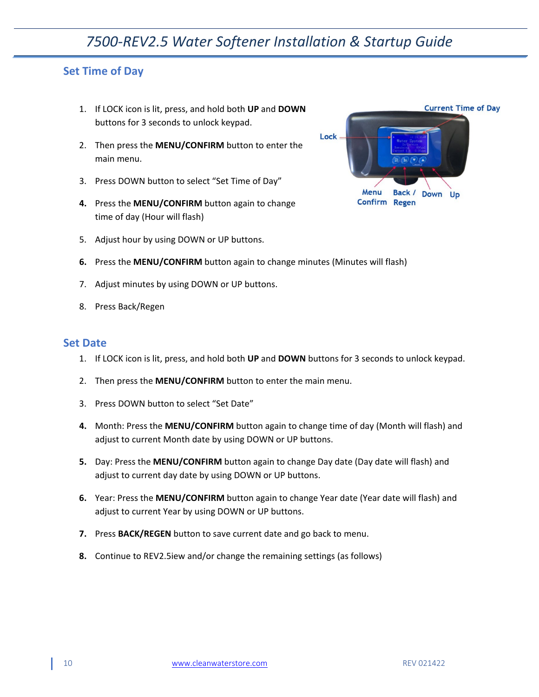### <span id="page-9-0"></span>**Set Time of Day**

- 1. If LOCK icon is lit, press, and hold both **UP** and **DOWN** buttons for 3 seconds to unlock keypad.
- 2. Then press the **MENU/CONFIRM** button to enter the main menu.
- 3. Press DOWN button to select "Set Time of Day"
- **4.** Press the **MENU/CONFIRM** button again to change time of day (Hour will flash)
- 5. Adjust hour by using DOWN or UP buttons.



- 7. Adjust minutes by using DOWN or UP buttons.
- 8. Press Back/Regen

### <span id="page-9-1"></span>**Set Date**

- 1. If LOCK icon is lit, press, and hold both **UP** and **DOWN** buttons for 3 seconds to unlock keypad.
- 2. Then press the **MENU/CONFIRM** button to enter the main menu.
- 3. Press DOWN button to select "Set Date"
- **4.** Month: Press the **MENU/CONFIRM** button again to change time of day (Month will flash) and adjust to current Month date by using DOWN or UP buttons.
- **5.** Day: Press the **MENU/CONFIRM** button again to change Day date (Day date will flash) and adjust to current day date by using DOWN or UP buttons.
- **6.** Year: Press the **MENU/CONFIRM** button again to change Year date (Year date will flash) and adjust to current Year by using DOWN or UP buttons.
- **7.** Press **BACK/REGEN** button to save current date and go back to menu.
- **8.** Continue to REV2.5iew and/or change the remaining settings (as follows)

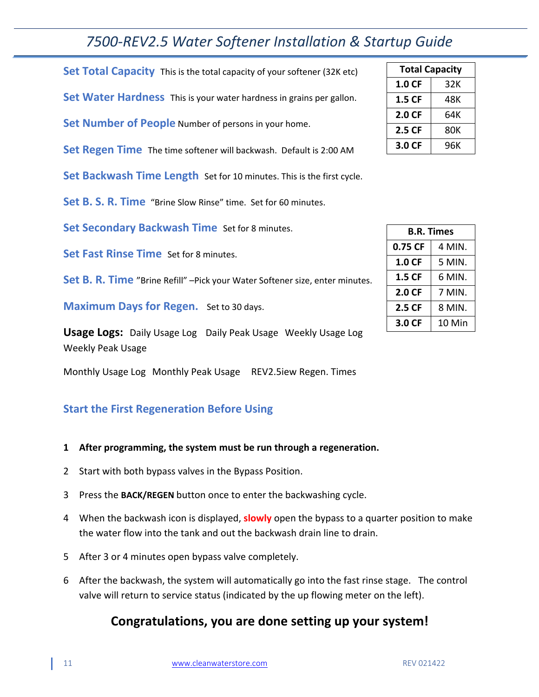<span id="page-10-1"></span><span id="page-10-0"></span>**Set Total Capacity** This is the total capacity of your softener (32K etc) **Set Water Hardness** This is your water hardness in grains per gallon.

<span id="page-10-2"></span>**Set Number of People** Number of persons in your home.

<span id="page-10-3"></span>**Set Regen Time** The time softener will backwash. Default is 2:00 AM

**Set Backwash Time Length** Set for 10 minutes. This is the first cycle.

**Set B. S. R. Time** "Brine Slow Rinse" time. Set for 60 minutes.

**Set Secondary Backwash Time** Set for 8 minutes.

**Set Fast Rinse Time** Set for 8 minutes.

**Set B. R. Time** "Brine Refill" –Pick your Water Softener size, enter minutes.

**Maximum Days for Regen.** Set to 30 days.

**Usage Logs:** Daily Usage Log Daily Peak Usage Weekly Usage Log Weekly Peak Usage

Monthly Usage Log Monthly Peak Usage REV2.5iew Regen. Times

## <span id="page-10-4"></span>**Start the First Regeneration Before Using**

- **1 After programming, the system must be run through a regeneration.**
- 2 Start with both bypass valves in the Bypass Position.
- 3 Press the **BACK/REGEN** button once to enter the backwashing cycle.
- 4 When the backwash icon is displayed, **slowly** open the bypass to a quarter position to make the water flow into the tank and out the backwash drain line to drain.
- 5 After 3 or 4 minutes open bypass valve completely.
- 6 After the backwash, the system will automatically go into the fast rinse stage. The control valve will return to service status (indicated by the up flowing meter on the left).

## **Congratulations, you are done setting up your system!**

| <b>Total Capacity</b> |     |  |
|-----------------------|-----|--|
| 1.0 <sub>CF</sub>     | 32K |  |
| 1.5 CF                | 48K |  |
| 2.0 CF                | 64K |  |
| 2.5 CF                | 80K |  |
| 3.0 CF                | 96K |  |

| <b>B.R. Times</b> |        |
|-------------------|--------|
| 0.75 CF           | 4 MIN. |
| 1.0 CF            | 5 MIN. |
| 1.5 CF            | 6 MIN. |
| 2.0 CF            | 7 MIN. |
| 2.5 CF            | 8 MIN. |
| 3.0 CF            | 10 Min |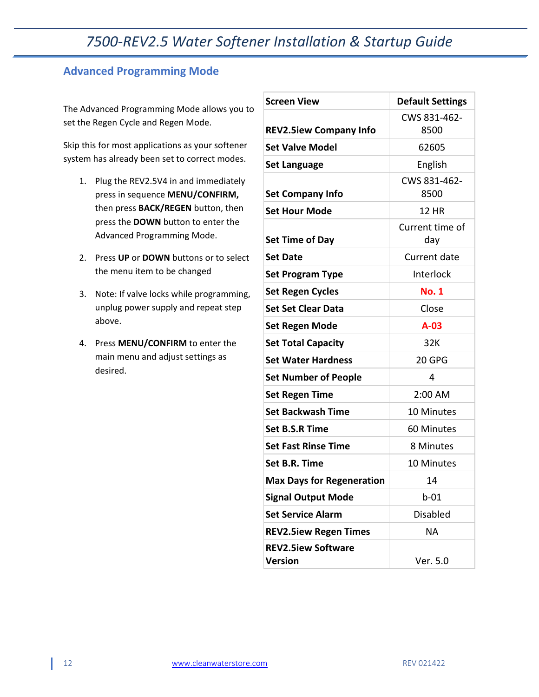## <span id="page-11-0"></span>**Advanced Programming Mode**

The Advanced Programming Mode allows you to set the Regen Cycle and Regen Mode.

Skip this for most applications as your softener system has already been set to correct modes.

- 1. Plug the REV2.5V4 in and immediately press in sequence **MENU/CONFIRM,**  then press **BACK/REGEN** button, then press the **DOWN** button to enter the Advanced Programming Mode.
- 2. Press **UP** or **DOWN** buttons or to select the menu item to be changed
- 3. Note: If valve locks while programming, unplug power supply and repeat step above.
- 4. Press **MENU/CONFIRM** to enter the main menu and adjust settings as desired.

| <b>Screen View</b>                   | <b>Default Settings</b> |  |
|--------------------------------------|-------------------------|--|
|                                      | CWS 831-462-            |  |
| <b>REV2.5iew Company Info</b>        | 8500                    |  |
| <b>Set Valve Model</b>               | 62605                   |  |
| <b>Set Language</b>                  | English                 |  |
| <b>Set Company Info</b>              | CWS 831-462-<br>8500    |  |
| <b>Set Hour Mode</b>                 | <b>12 HR</b>            |  |
| <b>Set Time of Day</b>               | Current time of<br>day  |  |
| <b>Set Date</b>                      | Current date            |  |
| <b>Set Program Type</b>              | Interlock               |  |
| <b>Set Regen Cycles</b>              | <b>No. 1</b>            |  |
| <b>Set Set Clear Data</b>            | Close                   |  |
| <b>Set Regen Mode</b>                | $A-03$                  |  |
| <b>Set Total Capacity</b>            | 32K                     |  |
| <b>Set Water Hardness</b>            | 20 GPG                  |  |
| <b>Set Number of People</b>          | 4                       |  |
| <b>Set Regen Time</b>                | 2:00 AM                 |  |
| <b>Set Backwash Time</b>             | 10 Minutes              |  |
| <b>Set B.S.R Time</b>                | 60 Minutes              |  |
| <b>Set Fast Rinse Time</b>           | 8 Minutes               |  |
| Set B.R. Time                        | 10 Minutes              |  |
| <b>Max Days for Regeneration</b>     | 14                      |  |
| <b>Signal Output Mode</b>            | $b-01$                  |  |
| <b>Set Service Alarm</b>             | <b>Disabled</b>         |  |
| <b>REV2.5iew Regen Times</b>         | <b>NA</b>               |  |
| <b>REV2.5iew Software</b><br>Version | Ver. 5.0                |  |